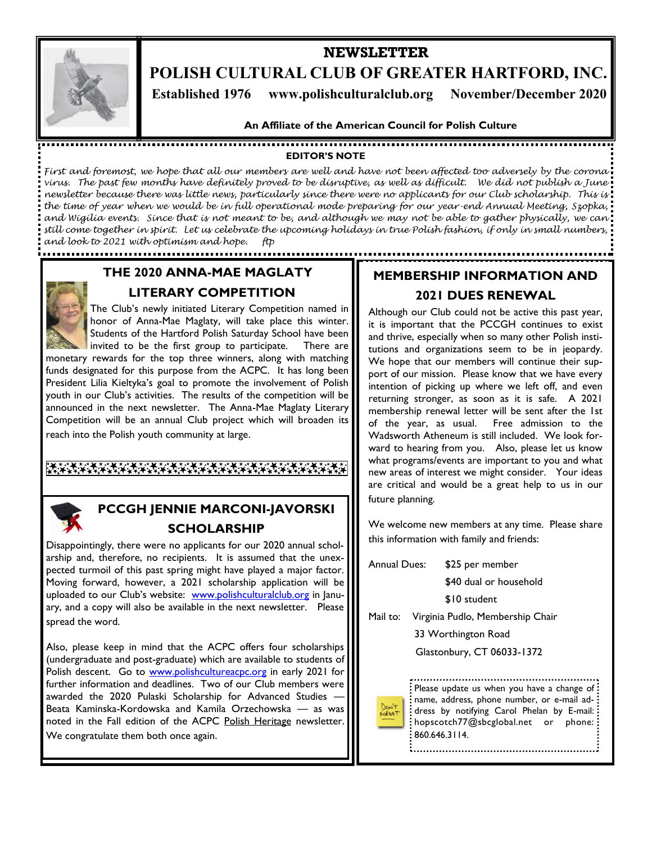

## **NEWSLETTER POLISH CULTURAL CLUB OF GREATER HARTFORD, INC. Established 1976 www.polishculturalclub.org November/December 2020**

#### **An Affiliate of the American Council for Polish Culture**

### **EDITOR'S NOTE**

*First and foremost, we hope that all our members are well and have not been affected too adversely by the corona virus. The past few months have definitely proved to be disruptive, as well as difficult. We did not publish a June newsletter because there was little news, particularly since there were no applicants for our Club scholarship. This is the time of year when we would be in full operational mode preparing for our year-end Annual Meeting, Szopka, and Wigilia events. Since that is not meant to be, and although we may not be able to gather physically, we can still come together in spirit. Let us celebrate the upcoming holidays in true Polish fashion, if only in small numbers, and look to 2021 with optimism and hope. ftp* 

> **THE 2020 ANNA-MAE MAGLATY LITERARY COMPETITION**

The Club's newly initiated Literary Competition named in honor of Anna-Mae Maglaty, will take place this winter. Students of the Hartford Polish Saturday School have been invited to be the first group to participate. There are monetary rewards for the top three winners, along with matching

funds designated for this purpose from the ACPC. It has long been President Lilia Kieltyka's goal to promote the involvement of Polish youth in our Club's activities. The results of the competition will be announced in the next newsletter. The Anna-Mae Maglaty Literary Competition will be an annual Club project which will broaden its

reach into the Polish youth community at large.

.......................

፝ቚቝጞቝዄ፝ጞቝዄቝጜቝቝቝቚቝዄቝዄቝዄቝዄቝዄቝዄቝዄቝዄቝዄቝዄቝ



### **PCCGH JENNIE MARCONI-JAVORSKI SCHOLARSHIP**

Disappointingly, there were no applicants for our 2020 annual scholarship and, therefore, no recipients. It is assumed that the unexpected turmoil of this past spring might have played a major factor. Moving forward, however, a 2021 scholarship application will be uploaded to our Club's website: www.polishculturalclub.org in January, and a copy will also be available in the next newsletter. Please spread the word.

Also, please keep in mind that the ACPC offers four scholarships (undergraduate and post-graduate) which are available to students of Polish descent. Go to www.polishcultureacpc.org in early 2021 for further information and deadlines. Two of our Club members were awarded the 2020 Pulaski Scholarship for Advanced Studies -Beata Kaminska-Kordowska and Kamila Orzechowska — as was noted in the Fall edition of the ACPC Polish Heritage newsletter. We congratulate them both once again.

### **MEMBERSHIP INFORMATION AND 2021 DUES RENEWAL**

Although our Club could not be active this past year, it is important that the PCCGH continues to exist and thrive, especially when so many other Polish institutions and organizations seem to be in jeopardy. We hope that our members will continue their support of our mission. Please know that we have every intention of picking up where we left off, and even returning stronger, as soon as it is safe. A 2021 membership renewal letter will be sent after the 1st of the year, as usual. Free admission to the Wadsworth Atheneum is still included. We look forward to hearing from you. Also, please let us know what programs/events are important to you and what new areas of interest we might consider. Your ideas are critical and would be a great help to us in our future planning.

We welcome new members at any time. Please share this information with family and friends:

Annual Dues: \$25 per member

\$40 dual or household

\$10 student

Mail to: Virginia Pudlo, Membership Chair

33 Worthington Road

Glastonbury, CT 06033-1372



Please update us when you have a change of: name, address, phone number, or e-mail ad-: dress by notifying Carol Phelan by E-mail: hopscotch77@sbcglobal.net or phone:: 860.646.3114.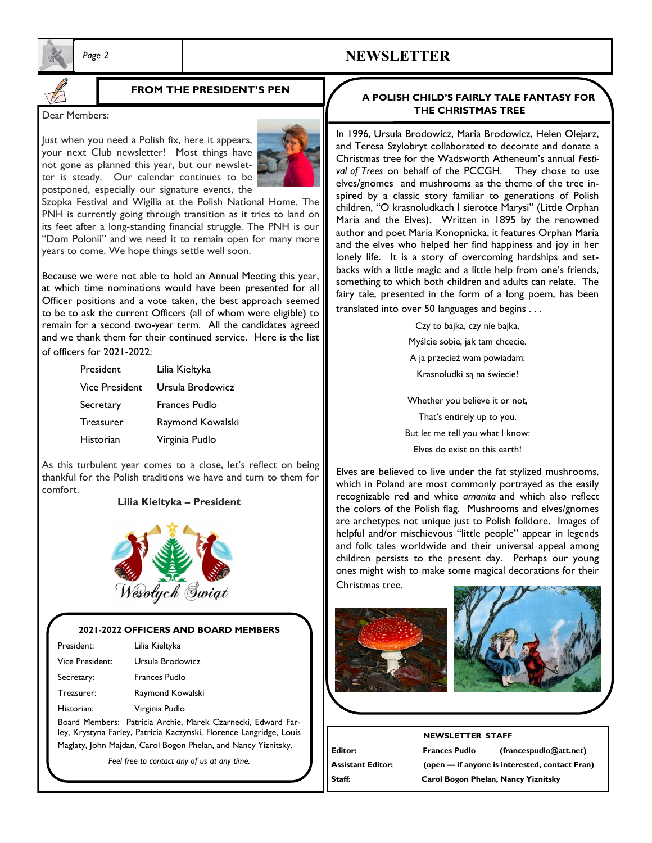

### *Page 2* **NEWSLETTER**

### **FROM THE PRESIDENT'S PEN**

#### Dear Members:

Just when you need a Polish fix, here it appears, your next Club newsletter! Most things have not gone as planned this year, but our newsletter is steady. Our calendar continues to be postponed, especially our signature events, the



Szopka Festival and Wigilia at the Polish National Home. The PNH is currently going through transition as it tries to land on its feet after a long-standing financial struggle. The PNH is our "Dom Polonii" and we need it to remain open for many more years to come. We hope things settle well soon.

Because we were not able to hold an Annual Meeting this year, at which time nominations would have been presented for all Officer positions and a vote taken, the best approach seemed to be to ask the current Officers (all of whom were eligible) to remain for a second two-year term. All the candidates agreed and we thank them for their continued service. Here is the list of officers for 2021-2022:

| President             | Lilia Kieltyka   |
|-----------------------|------------------|
| <b>Vice President</b> | Ursula Brodowicz |
| Secretary             | Frances Pudlo    |
| <b>Treasurer</b>      | Raymond Kowalski |
|                       |                  |

Historian Virginia Pudlo

As this turbulent year comes to a close, let's reflect on being thankful for the Polish traditions we have and turn to them for comfort.

#### **Lilia Kieltyka – President**



#### **2021-2022 OFFICERS AND BOARD MEMBERS**

| President:      | Lilia Kieltyka   |
|-----------------|------------------|
| Vice President: | Ursula Brodowicz |
| Secretary:      | Frances Pudlo    |
| Treasurer:      | Raymond Kowalski |
| Historian:      | Virginia Pudlo   |
|                 | .                |

Board Members: Patricia Archie, Marek Czarnecki, Edward Farley, Krystyna Farley, Patricia Kaczynski, Florence Langridge, Louis Maglaty, John Majdan, Carol Bogon Phelan, and Nancy Yiznitsky.

*Feel free to contact any of us at any time.* 

#### **A POLISH CHILD'S FAIRLY TALE FANTASY FOR THE CHRISTMAS TREE**

In 1996, Ursula Brodowicz, Maria Brodowicz, Helen Olejarz, and Teresa Szylobryt collaborated to decorate and donate a Christmas tree for the Wadsworth Atheneum's annual *Festival of Trees* on behalf of the PCCGH. They chose to use elves/gnomes and mushrooms as the theme of the tree inspired by a classic story familiar to generations of Polish children, "O krasnoludkach I sierotce Marysi" (Little Orphan Maria and the Elves). Written in 1895 by the renowned author and poet Maria Konopnicka, it features Orphan Maria and the elves who helped her find happiness and joy in her lonely life. It is a story of overcoming hardships and setbacks with a little magic and a little help from one's friends, something to which both children and adults can relate. The fairy tale, presented in the form of a long poem, has been translated into over 50 languages and begins . . .

> Czy to bajka, czy nie bajka, Myślcie sobie, jak tam chcecie. A ja przecież wam powiadam: Krasnoludki są na świecie!

Whether you believe it or not, That's entirely up to you. But let me tell you what I know: Elves do exist on this earth!

Elves are believed to live under the fat stylized mushrooms, which in Poland are most commonly portrayed as the easily recognizable red and white *amanita* and which also reflect the colors of the Polish flag. Mushrooms and elves/gnomes are archetypes not unique just to Polish folklore. Images of helpful and/or mischievous "little people" appear in legends and folk tales worldwide and their universal appeal among children persists to the present day. Perhaps our young ones might wish to make some magical decorations for their Christmas tree.





#### **NEWSLETTER STAFF**

**Editor: Frances Pudlo (francespudlo@att.net) Assistant Editor: (open — if anyone is interested, contact Fran) Staff: Carol Bogon Phelan, Nancy Yiznitsky**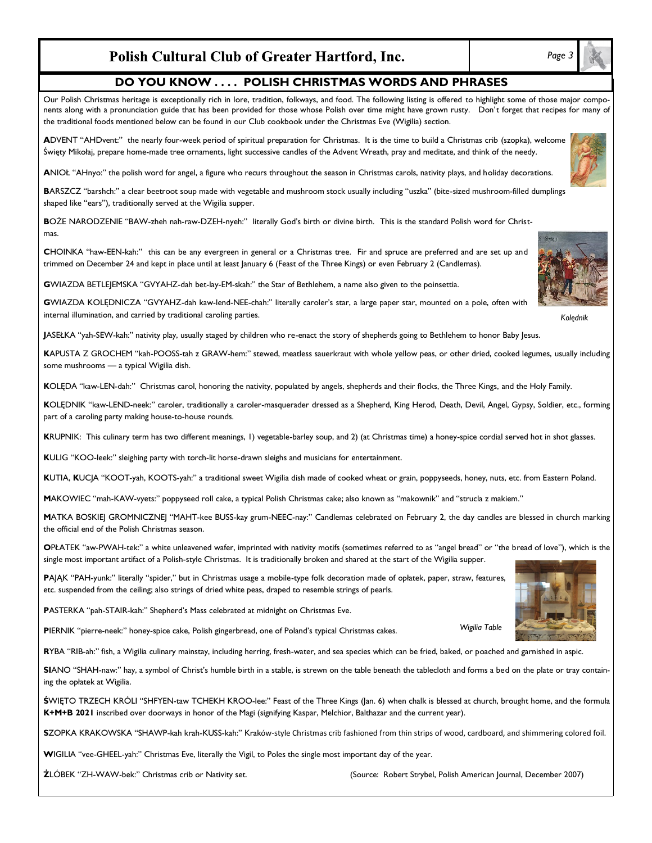### **Polish Cultural Club of Greater Hartford, Inc.**

#### **DO YOU KNOW . . . . POLISH CHRISTMAS WORDS AND PHRASES**

Our Polish Christmas heritage is exceptionally rich in lore, tradition, folkways, and food. The following listing is offered to highlight some of those major components along with a pronunciation guide that has been provided for those whose Polish over time might have grown rusty. Don't forget that recipes for many of the traditional foods mentioned below can be found in our Club cookbook under the Christmas Eve (Wigilia) section.

**A**DVENT "AHDvent:" the nearly four-week period of spiritual preparation for Christmas. It is the time to build a Christmas crib (szopka), welcome Święty Mikołaj, prepare home-made tree ornaments, light successive candles of the Advent Wreath, pray and meditate, and think of the needy.

**A**NIOŁ "AHnyo:" the polish word for angel, a figure who recurs throughout the season in Christmas carols, nativity plays, and holiday decorations.

**B**ARSZCZ "barshch:" a clear beetroot soup made with vegetable and mushroom stock usually including "uszka" (bite-sized mushroom-filled dumplings shaped like "ears"), traditionally served at the Wigilia supper.

**B**OŻE NARODZENIE "BAW-zheh nah-raw-DZEH-nyeh:" literally God's birth or divine birth. This is the standard Polish word for Christmas.

**C**HOINKA "haw-EEN-kah:" this can be any evergreen in general or a Christmas tree. Fir and spruce are preferred and are set up and trimmed on December 24 and kept in place until at least January 6 (Feast of the Three Kings) or even February 2 (Candlemas).

**G**WIAZDA BETLEJEMSKA "GVYAHZ-dah bet-lay-EM-skah:" the Star of Bethlehem, a name also given to the poinsettia.

**G**WIAZDA KOLĘDNICZA "GVYAHZ-dah kaw-lend-NEE-chah:" literally caroler's star, a large paper star, mounted on a pole, often with internal illumination, and carried by traditional caroling parties.

**J**ASEŁKA "yah-SEW-kah:" nativity play, usually staged by children who re-enact the story of shepherds going to Bethlehem to honor Baby Jesus.

**K**APUSTA Z GROCHEM "kah-POOSS-tah z GRAW-hem:" stewed, meatless sauerkraut with whole yellow peas, or other dried, cooked legumes, usually including some mushrooms — a typical Wigilia dish.

**K**OLĘDA "kaw-LEN-dah:" Christmas carol, honoring the nativity, populated by angels, shepherds and their flocks, the Three Kings, and the Holy Family.

**K**OLĘDNIK "kaw-LEND-neek:" caroler, traditionally a caroler-masquerader dressed as a Shepherd, King Herod, Death, Devil, Angel, Gypsy, Soldier, etc., forming part of a caroling party making house-to-house rounds.

**K**RUPNIK: This culinary term has two different meanings, 1) vegetable-barley soup, and 2) (at Christmas time) a honey-spice cordial served hot in shot glasses.

**K**ULIG "KOO-leek:" sleighing party with torch-lit horse-drawn sleighs and musicians for entertainment.

**K**UTIA, **K**UCJA "KOOT-yah, KOOTS-yah:" a traditional sweet Wigilia dish made of cooked wheat or grain, poppyseeds, honey, nuts, etc. from Eastern Poland.

**M**AKOWIEC "mah-KAW-vyets:" poppyseed roll cake, a typical Polish Christmas cake; also known as "makownik" and "strucla z makiem."

**M**ATKA BOSKIEJ GROMNICZNEJ "MAHT-kee BUSS-kay grum-NEEC-nay:" Candlemas celebrated on February 2, the day candles are blessed in church marking the official end of the Polish Christmas season.

**O**PŁATEK "aw-PWAH-tek:" a white unleavened wafer, imprinted with nativity motifs (sometimes referred to as "angel bread" or "the bread of love"), which is the single most important artifact of a Polish-style Christmas. It is traditionally broken and shared at the start of the Wigilia supper.

**P**AJĄK "PAH-yunk:" literally "spider," but in Christmas usage a mobile-type folk decoration made of opłatek, paper, straw, features, etc. suspended from the ceiling; also strings of dried white peas, draped to resemble strings of pearls.

**P**ASTERKA "pah-STAIR-kah:" Shepherd's Mass celebrated at midnight on Christmas Eve.

**P**IERNIK "pierre-neek:" honey-spice cake, Polish gingerbread, one of Poland's typical Christmas cakes.

**R**YBA "RIB-ah:" fish, a Wigilia culinary mainstay, including herring, fresh-water, and sea species which can be fried, baked, or poached and garnished in aspic.

**SI**ANO "SHAH-naw:" hay, a symbol of Christ's humble birth in a stable, is strewn on the table beneath the tablecloth and forms a bed on the plate or tray containing the opłatek at Wigilia.

**Ś**WIĘTO TRZECH KRÓLI "SHFYEN-taw TCHEKH KROO-lee:" Feast of the Three Kings (Jan. 6) when chalk is blessed at church, brought home, and the formula **K+M+B 2021** inscribed over doorways in honor of the Magi (signifying Kaspar, Melchior, Balthazar and the current year).

**S**ZOPKA KRAKOWSKA "SHAWP-kah krah-KUSS-kah:" Kraków-style Christmas crib fashioned from thin strips of wood, cardboard, and shimmering colored foil.

**W**IGILIA "vee-GHEEL-yah:" Christmas Eve, literally the Vigil, to Poles the single most important day of the year.





*Kolędnik*

*Wigilia Table*

**Ż**LÓBEK "ZH-WAW-bek:" Christmas crib or Nativity set. (Source: Robert Strybel, Polish American Journal, December 2007)